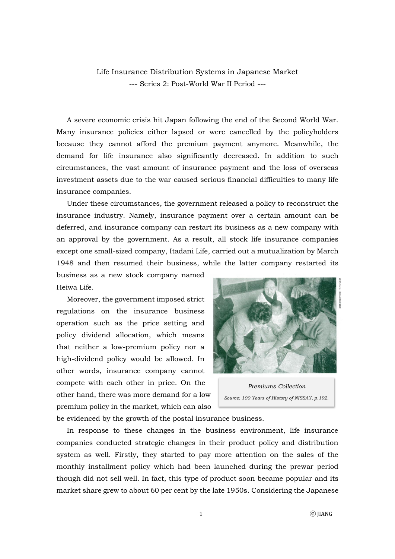Life Insurance Distribution Systems in Japanese Market --- Series 2: Post-World War II Period ---

A severe economic crisis hit Japan following the end of the Second World War. Many insurance policies either lapsed or were cancelled by the policyholders because they cannot afford the premium payment anymore. Meanwhile, the demand for life insurance also significantly decreased. In addition to such circumstances, the vast amount of insurance payment and the loss of overseas investment assets due to the war caused serious financial difficulties to many life insurance companies.

Under these circumstances, the government released a policy to reconstruct the insurance industry. Namely, insurance payment over a certain amount can be deferred, and insurance company can restart its business as a new company with an approval by the government. As a result, all stock life insurance companies except one small-sized company, Itadani Life, carried out a mutualization by March 1948 and then resumed their business, while the latter company restarted its

business as a new stock company named Heiwa Life.

Moreover, the government imposed strict regulations on the insurance business operation such as the price setting and policy dividend allocation, which means that neither a low-premium policy nor a high-dividend policy would be allowed. In other words, insurance company cannot compete with each other in price. On the other hand, there was more demand for a low premium policy in the market, which can also



*Premiums Collection Source: 100 Years of History of NISSAY, p.192.*

be evidenced by the growth of the postal insurance business.

In response to these changes in the business environment, life insurance companies conducted strategic changes in their product policy and distribution system as well. Firstly, they started to pay more attention on the sales of the monthly installment policy which had been launched during the prewar period though did not sell well. In fact, this type of product soon became popular and its market share grew to about 60 per cent by the late 1950s. Considering the Japanese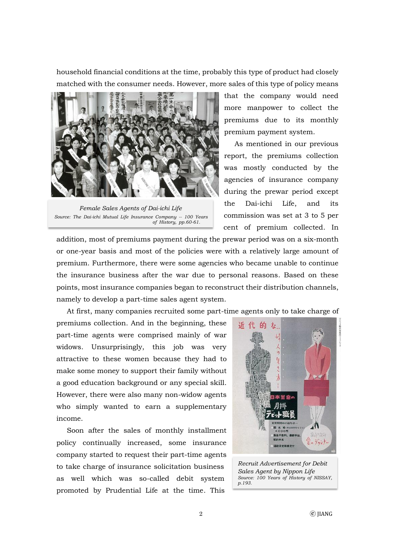household financial conditions at the time, probably this type of product had closely matched with the consumer needs. However, more sales of this type of policy means



*Female Sales Agents of Dai-ichi Life Source: The Dai-ichi Mutual Life Insurance Company -- 100 Years of History, pp.60-61.*

that the company would need more manpower to collect the premiums due to its monthly premium payment system.

As mentioned in our previous report, the premiums collection was mostly conducted by the agencies of insurance company during the prewar period except the Dai-ichi Life, and its commission was set at 3 to 5 per cent of premium collected. In

addition, most of premiums payment during the prewar period was on a six-month or one-year basis and most of the policies were with a relatively large amount of premium. Furthermore, there were some agencies who became unable to continue the insurance business after the war due to personal reasons. Based on these points, most insurance companies began to reconstruct their distribution channels, namely to develop a part-time sales agent system.

At first, many companies recruited some part-time agents only to take charge of

premiums collection. And in the beginning, these part-time agents were comprised mainly of war widows. Unsurprisingly, this job was very attractive to these women because they had to make some money to support their family without a good education background or any special skill. However, there were also many non-widow agents who simply wanted to earn a supplementary income.

Soon after the sales of monthly installment policy continually increased, some insurance company started to request their part-time agents to take charge of insurance solicitation business as well which was so-called debit system promoted by Prudential Life at the time. This



*Recruit Advertisement for Debit Sales Agent by Nippon Life Source: 100 Years of History of NISSAY, p.193.*